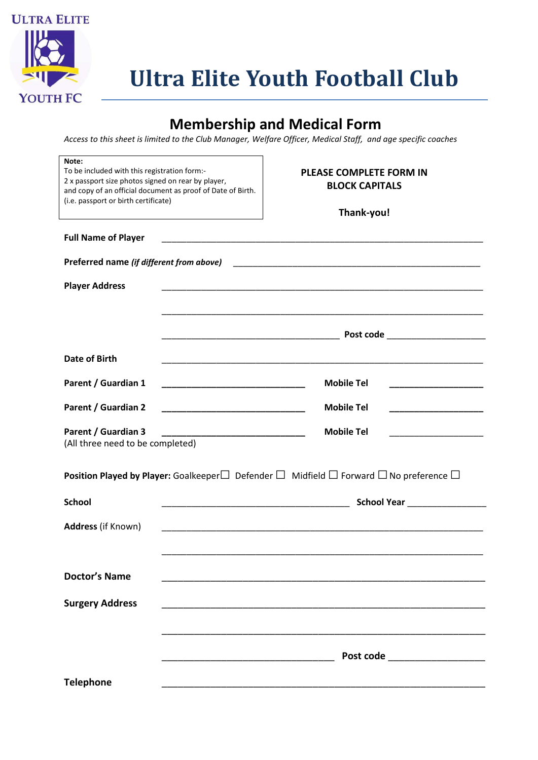

## **Membership and Medical Form**

*Access to this sheet is limited to the Club Manager, Welfare Officer, Medical Staff, and age specific coaches*

| Note:<br>To be included with this registration form:-<br>2 x passport size photos signed on rear by player,<br>and copy of an official document as proof of Date of Birth.<br>(i.e. passport or birth certificate) | <b>PLEASE COMPLETE FORM IN</b><br><b>BLOCK CAPITALS</b><br>Thank-you!                               |  |  |  |  |
|--------------------------------------------------------------------------------------------------------------------------------------------------------------------------------------------------------------------|-----------------------------------------------------------------------------------------------------|--|--|--|--|
| <b>Full Name of Player</b>                                                                                                                                                                                         |                                                                                                     |  |  |  |  |
| Preferred name (if different from above)                                                                                                                                                                           |                                                                                                     |  |  |  |  |
| <b>Player Address</b>                                                                                                                                                                                              |                                                                                                     |  |  |  |  |
|                                                                                                                                                                                                                    |                                                                                                     |  |  |  |  |
|                                                                                                                                                                                                                    |                                                                                                     |  |  |  |  |
| <b>Date of Birth</b>                                                                                                                                                                                               |                                                                                                     |  |  |  |  |
| Parent / Guardian 1                                                                                                                                                                                                | <b>Mobile Tel</b>                                                                                   |  |  |  |  |
| <b>Parent / Guardian 2</b>                                                                                                                                                                                         | <b>Mobile Tel</b><br>_____________________                                                          |  |  |  |  |
| <b>Parent / Guardian 3</b><br>(All three need to be completed)                                                                                                                                                     | <b>Mobile Tel</b>                                                                                   |  |  |  |  |
| Position Played by Player: Goalkeeper $\Box$ Defender $\Box$ Midfield $\Box$ Forward $\Box$ No preference $\Box$                                                                                                   |                                                                                                     |  |  |  |  |
| <b>School</b>                                                                                                                                                                                                      | School Year <b>School Year</b><br><u> 1989 - Johann John Stone, mars eta biztanleria (h. 1982).</u> |  |  |  |  |
| Address (if Known)                                                                                                                                                                                                 |                                                                                                     |  |  |  |  |
|                                                                                                                                                                                                                    |                                                                                                     |  |  |  |  |
| <b>Doctor's Name</b>                                                                                                                                                                                               |                                                                                                     |  |  |  |  |
| <b>Surgery Address</b>                                                                                                                                                                                             |                                                                                                     |  |  |  |  |
|                                                                                                                                                                                                                    |                                                                                                     |  |  |  |  |
|                                                                                                                                                                                                                    | Post code ____________________                                                                      |  |  |  |  |
| <b>Telephone</b>                                                                                                                                                                                                   |                                                                                                     |  |  |  |  |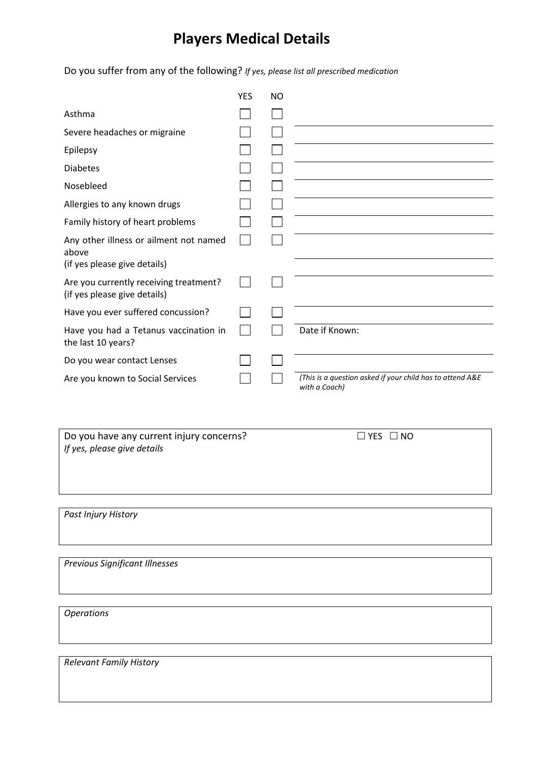## **Players Medical Details**

Do you suffer from any of the following? *If yes, please list all prescribed medication*

|                                                                        | <b>YES</b> | <b>NO</b> |                                                                            |
|------------------------------------------------------------------------|------------|-----------|----------------------------------------------------------------------------|
| Asthma                                                                 |            |           |                                                                            |
| Severe headaches or migraine                                           |            |           |                                                                            |
| Epilepsy                                                               |            |           |                                                                            |
| <b>Diabetes</b>                                                        |            |           |                                                                            |
| Nosebleed                                                              |            |           |                                                                            |
| Allergies to any known drugs                                           |            |           |                                                                            |
| Family history of heart problems                                       |            |           |                                                                            |
| Any other illness or ailment not named<br>above                        |            |           |                                                                            |
| (if yes please give details)                                           |            |           |                                                                            |
| Are you currently receiving treatment?<br>(if yes please give details) |            |           |                                                                            |
| Have you ever suffered concussion?                                     |            |           |                                                                            |
| Have you had a Tetanus vaccination in<br>the last 10 years?            |            |           | Date if Known:                                                             |
| Do you wear contact Lenses                                             |            |           |                                                                            |
| Are you known to Social Services                                       |            |           | (This is a question asked if your child has to attend A&E<br>with a Coach) |

Do you have any current injury concerns?  $\Box$  YES  $\Box$  NO *If yes, please give details*

*Past Injury History*

*Previous Significant Illnesses*

*Operations*

*Relevant Family History*